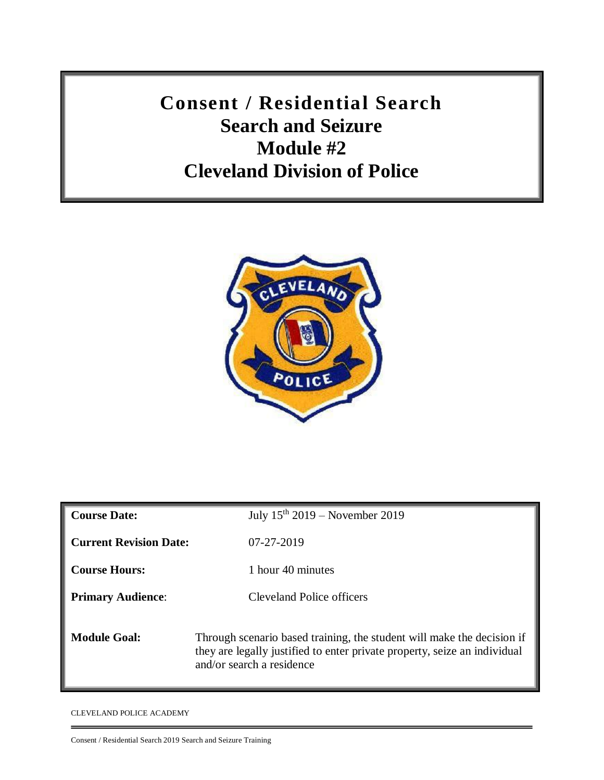**Consent / Residential Search Search and Seizure Module #2 Cleveland Division of Police**



| <b>Course Date:</b>           | July $15th 2019$ – November 2019                                                                                                                                                 |
|-------------------------------|----------------------------------------------------------------------------------------------------------------------------------------------------------------------------------|
| <b>Current Revision Date:</b> | 07-27-2019                                                                                                                                                                       |
| <b>Course Hours:</b>          | 1 hour 40 minutes                                                                                                                                                                |
| <b>Primary Audience:</b>      | <b>Cleveland Police officers</b>                                                                                                                                                 |
| <b>Module Goal:</b>           | Through scenario based training, the student will make the decision if<br>they are legally justified to enter private property, seize an individual<br>and/or search a residence |

CLEVELAND POLICE ACADEMY

Consent / Residential Search 2019 Search and Seizure Training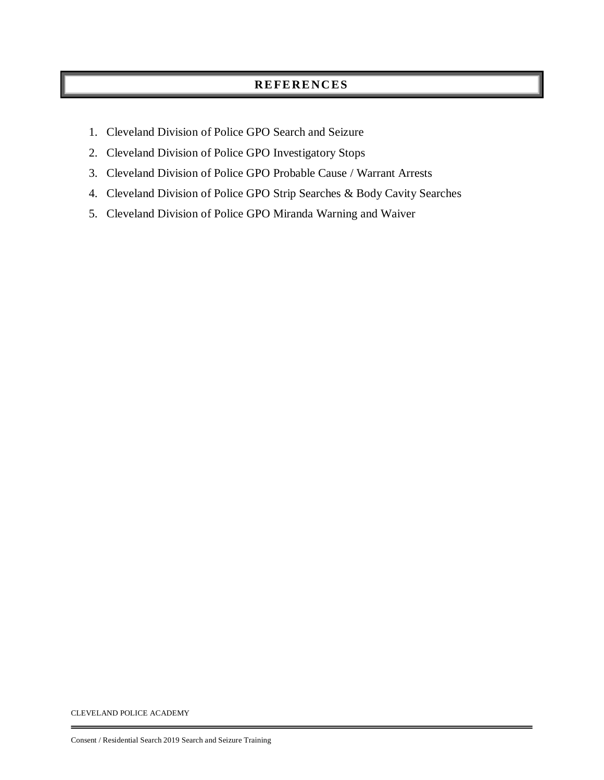#### **RE FE RE NC ES**

- 1. Cleveland Division of Police GPO Search and Seizure
- 2. Cleveland Division of Police GPO Investigatory Stops
- 3. Cleveland Division of Police GPO Probable Cause / Warrant Arrests
- 4. Cleveland Division of Police GPO Strip Searches & Body Cavity Searches
- 5. Cleveland Division of Police GPO Miranda Warning and Waiver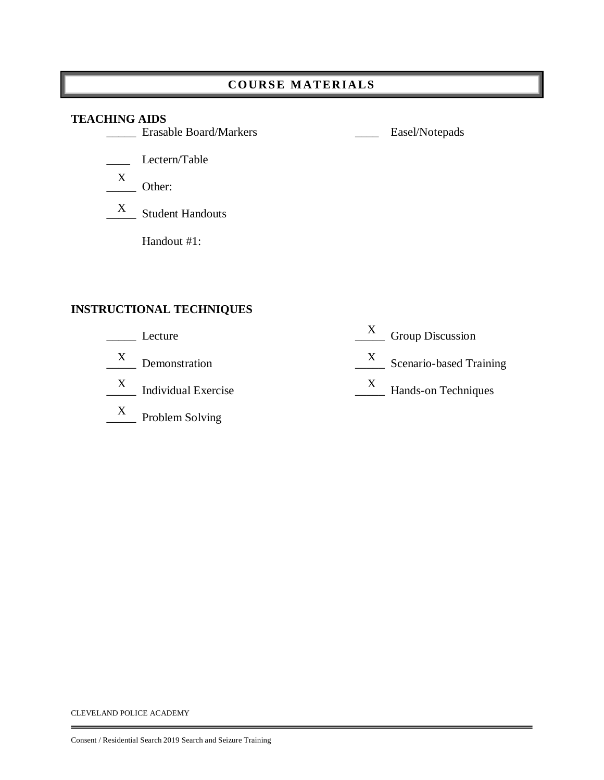#### **COURS E M AT ER IA LS**

# $\frac{X}{\sqrt{X}}$  Other: **TEACHING AIDS** \_\_\_\_\_ Erasable Board/Markers \_\_\_\_ Easel/Notepads \_\_\_\_ Lectern/Table X Student Handouts Handout #1: X

#### **INSTRUCTIONAL TECHNIQUES**

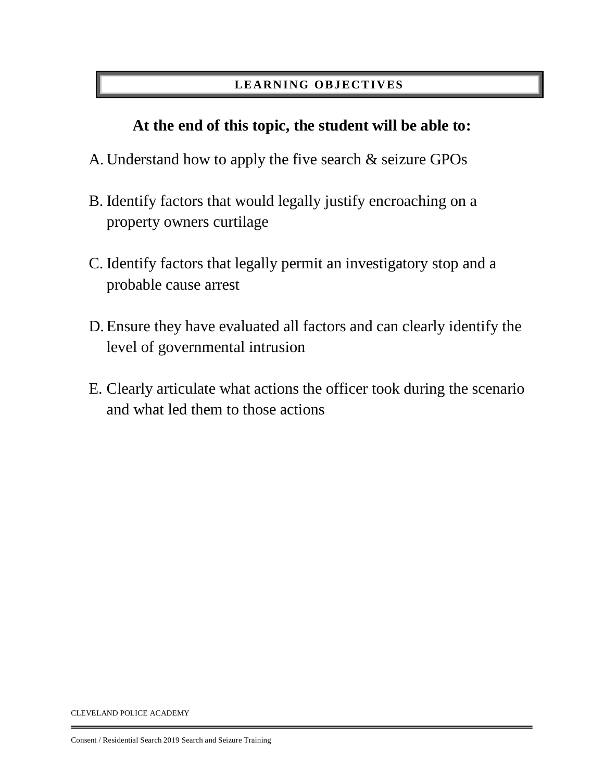# **LE ARN ING OB J EC TI VES**

# **At the end of this topic, the student will be able to:**

- A. Understand how to apply the five search & seizure GPOs
- B. Identify factors that would legally justify encroaching on a property owners curtilage
- C. Identify factors that legally permit an investigatory stop and a probable cause arrest
- D. Ensure they have evaluated all factors and can clearly identify the level of governmental intrusion
- E. Clearly articulate what actions the officer took during the scenario and what led them to those actions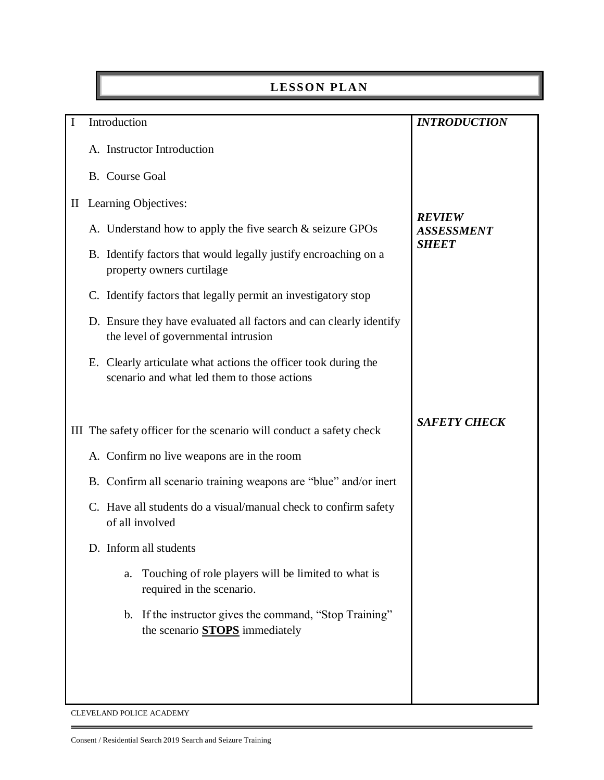# **LESSON PLAN**

| $\mathbf I$ | Introduction                                                                                                  | <b>INTRODUCTION</b>                |
|-------------|---------------------------------------------------------------------------------------------------------------|------------------------------------|
|             | A. Instructor Introduction                                                                                    |                                    |
|             | B. Course Goal                                                                                                |                                    |
|             | II Learning Objectives:                                                                                       |                                    |
|             | A. Understand how to apply the five search $&$ seizure GPOs                                                   | <b>REVIEW</b><br><b>ASSESSMENT</b> |
|             | B. Identify factors that would legally justify encroaching on a<br>property owners curtilage                  | <b>SHEET</b>                       |
|             | C. Identify factors that legally permit an investigatory stop                                                 |                                    |
|             | D. Ensure they have evaluated all factors and can clearly identify<br>the level of governmental intrusion     |                                    |
|             | E. Clearly articulate what actions the officer took during the<br>scenario and what led them to those actions |                                    |
|             |                                                                                                               | <b>SAFETY CHECK</b>                |
|             | III The safety officer for the scenario will conduct a safety check                                           |                                    |
|             | A. Confirm no live weapons are in the room                                                                    |                                    |
|             | B. Confirm all scenario training weapons are "blue" and/or inert                                              |                                    |
|             | C. Have all students do a visual/manual check to confirm safety<br>of all involved                            |                                    |
|             | D. Inform all students                                                                                        |                                    |
|             | Touching of role players will be limited to what is<br>a.<br>required in the scenario.                        |                                    |
|             | If the instructor gives the command, "Stop Training"<br>b.<br>the scenario <b>STOPS</b> immediately           |                                    |
|             |                                                                                                               |                                    |
|             |                                                                                                               |                                    |
|             |                                                                                                               |                                    |

CLEVELAND POLICE ACADEMY

÷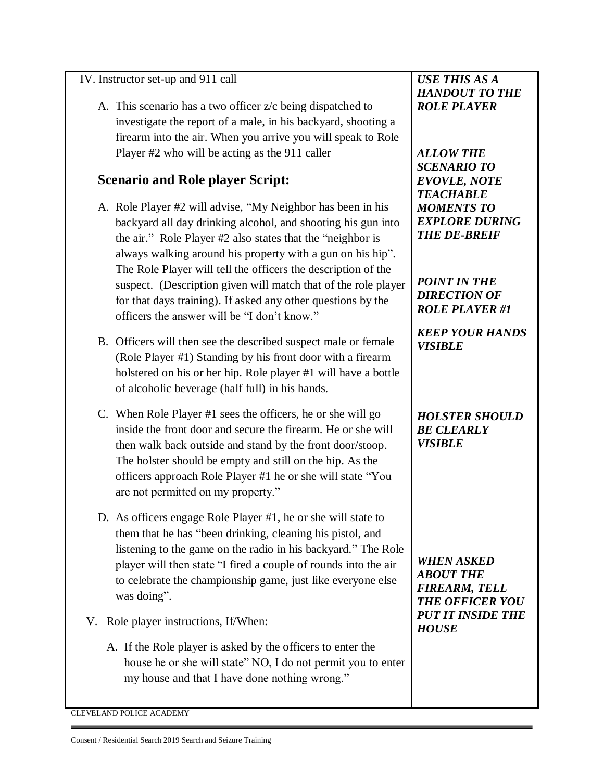#### IV. Instructor set-up and 911 call

A. This scenario has a two officer z/c being dispatched to investigate the report of a male, in his backyard, shooting a firearm into the air. When you arrive you will speak to Role Player #2 who will be acting as the 911 caller

# **Scenario and Role player Script:**

- A. Role Player #2 will advise, "My Neighbor has been in his backyard all day drinking alcohol, and shooting his gun into the air." Role Player #2 also states that the "neighbor is always walking around his property with a gun on his hip". The Role Player will tell the officers the description of the suspect. (Description given will match that of the role player for that days training). If asked any other questions by the officers the answer will be "I don't know."
- B. Officers will then see the described suspect male or female (Role Player #1) Standing by his front door with a firearm holstered on his or her hip. Role player #1 will have a bottle of alcoholic beverage (half full) in his hands.
- C. When Role Player #1 sees the officers, he or she will go inside the front door and secure the firearm. He or she will then walk back outside and stand by the front door/stoop. The holster should be empty and still on the hip. As the officers approach Role Player #1 he or she will state "You are not permitted on my property."
- D. As officers engage Role Player #1, he or she will state to them that he has "been drinking, cleaning his pistol, and listening to the game on the radio in his backyard." The Role player will then state "I fired a couple of rounds into the air to celebrate the championship game, just like everyone else was doing".
- V. Role player instructions, If/When:
	- A. If the Role player is asked by the officers to enter the house he or she will state" NO, I do not permit you to enter my house and that I have done nothing wrong."

*USE THIS AS A HANDOUT TO THE ROLE PLAYER*

*ALLOW THE SCENARIO TO EVOVLE, NOTE TEACHABLE MOMENTS TO EXPLORE DURING THE DE-BREIF*

*POINT IN THE DIRECTION OF ROLE PLAYER #1*

*KEEP YOUR HANDS VISIBLE*

*HOLSTER SHOULD BE CLEARLY VISIBLE*

*WHEN ASKED ABOUT THE FIREARM, TELL THE OFFICER YOU PUT IT INSIDE THE HOUSE*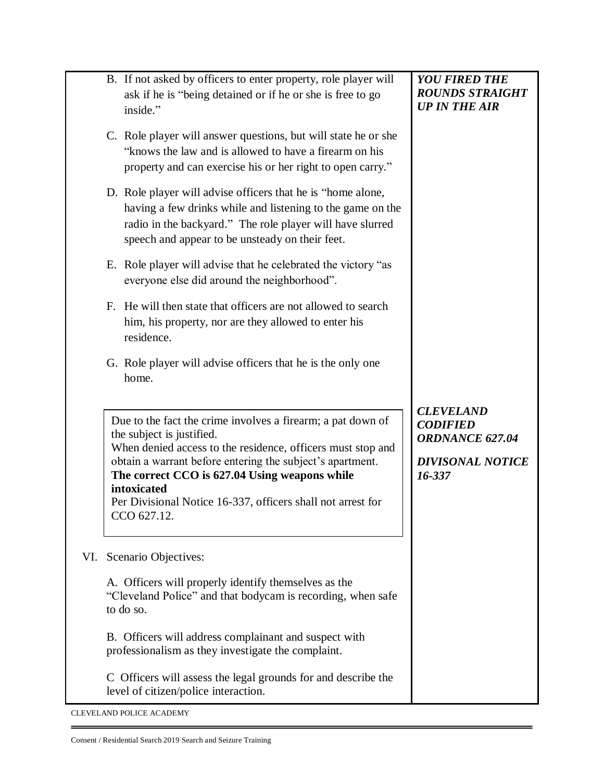|     | B. If not asked by officers to enter property, role player will<br>ask if he is "being detained or if he or she is free to go<br>inside."                                                                                                                                                                                                                          | <b>YOU FIRED THE</b><br><b>ROUNDS STRAIGHT</b><br><b>UP IN THE AIR</b>                      |
|-----|--------------------------------------------------------------------------------------------------------------------------------------------------------------------------------------------------------------------------------------------------------------------------------------------------------------------------------------------------------------------|---------------------------------------------------------------------------------------------|
|     | C. Role player will answer questions, but will state he or she<br>"knows the law and is allowed to have a firearm on his<br>property and can exercise his or her right to open carry."                                                                                                                                                                             |                                                                                             |
|     | D. Role player will advise officers that he is "home alone,<br>having a few drinks while and listening to the game on the<br>radio in the backyard." The role player will have slurred<br>speech and appear to be unsteady on their feet.                                                                                                                          |                                                                                             |
|     | E. Role player will advise that he celebrated the victory "as<br>everyone else did around the neighborhood".                                                                                                                                                                                                                                                       |                                                                                             |
|     | F. He will then state that officers are not allowed to search<br>him, his property, nor are they allowed to enter his<br>residence.                                                                                                                                                                                                                                |                                                                                             |
|     | G. Role player will advise officers that he is the only one<br>home.                                                                                                                                                                                                                                                                                               |                                                                                             |
|     | Due to the fact the crime involves a firearm; a pat down of<br>the subject is justified.<br>When denied access to the residence, officers must stop and<br>obtain a warrant before entering the subject's apartment.<br>The correct CCO is 627.04 Using weapons while<br>intoxicated<br>Per Divisional Notice 16-337, officers shall not arrest for<br>CCO 627.12. | <b>CLEVELAND</b><br><b>CODIFIED</b><br>ORDNANCE 627.04<br><b>DIVISONAL NOTICE</b><br>16-337 |
| VI. | Scenario Objectives:                                                                                                                                                                                                                                                                                                                                               |                                                                                             |
|     | A. Officers will properly identify themselves as the<br>"Cleveland Police" and that bodycam is recording, when safe<br>to do so.                                                                                                                                                                                                                                   |                                                                                             |
|     | B. Officers will address complainant and suspect with<br>professionalism as they investigate the complaint.                                                                                                                                                                                                                                                        |                                                                                             |
|     | C Officers will assess the legal grounds for and describe the<br>level of citizen/police interaction.                                                                                                                                                                                                                                                              |                                                                                             |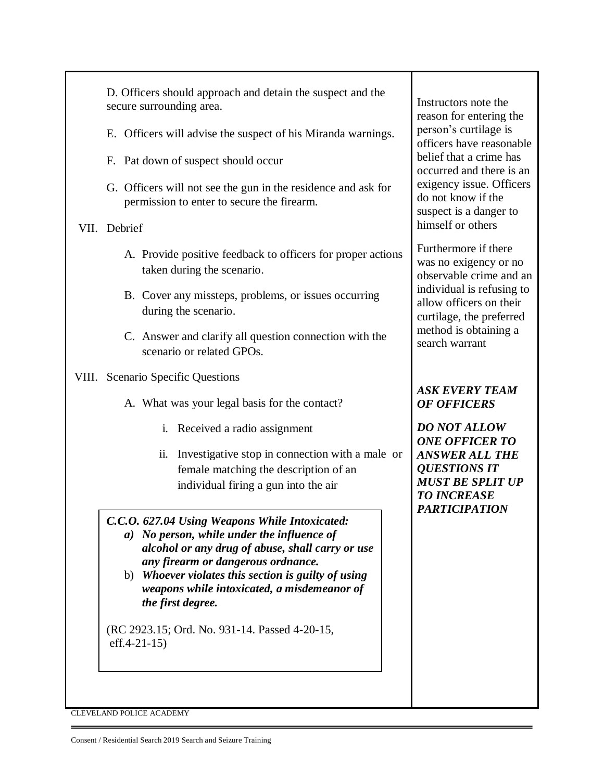| D. Officers should approach and detain the suspect and the<br>secure surrounding area.<br>E. Officers will advise the suspect of his Miranda warnings.<br>F. Pat down of suspect should occur<br>G. Officers will not see the gun in the residence and ask for<br>permission to enter to secure the firearm.<br>VII. Debrief                                                         | Instructors note the<br>reason for entering the<br>person's curtilage is<br>officers have reasonable<br>belief that a crime has<br>occurred and there is an<br>exigency issue. Officers<br>do not know if the<br>suspect is a danger to<br>himself or others |
|--------------------------------------------------------------------------------------------------------------------------------------------------------------------------------------------------------------------------------------------------------------------------------------------------------------------------------------------------------------------------------------|--------------------------------------------------------------------------------------------------------------------------------------------------------------------------------------------------------------------------------------------------------------|
| A. Provide positive feedback to officers for proper actions<br>taken during the scenario.<br>B. Cover any missteps, problems, or issues occurring<br>during the scenario.<br>C. Answer and clarify all question connection with the<br>scenario or related GPOs.                                                                                                                     | Furthermore if there<br>was no exigency or no<br>observable crime and an<br>individual is refusing to<br>allow officers on their<br>curtilage, the preferred<br>method is obtaining a<br>search warrant                                                      |
| VIII. Scenario Specific Questions<br>A. What was your legal basis for the contact?<br>i. Received a radio assignment<br>ii. Investigative stop in connection with a male or<br>female matching the description of an<br>individual firing a gun into the air                                                                                                                         | <b>ASK EVERY TEAM</b><br><b>OF OFFICERS</b><br><b>DO NOT ALLOW</b><br><b>ONE OFFICER TO</b><br><b>ANSWER ALL THE</b><br><b>QUESTIONS IT</b><br><b>MUST BE SPLIT UP</b><br><b>TO INCREASE</b><br><b>PARTICIPATION</b>                                         |
| C.C.O. 627.04 Using Weapons While Intoxicated:<br>a) No person, while under the influence of<br>alcohol or any drug of abuse, shall carry or use<br>any firearm or dangerous ordnance.<br>b) Whoever violates this section is guilty of using<br>weapons while intoxicated, a misdemeanor of<br>the first degree.<br>(RC 2923.15; Ord. No. 931-14. Passed 4-20-15,<br>$eff.4-21-15)$ |                                                                                                                                                                                                                                                              |

٦

CLEVELAND POLICE ACADEMY

Ė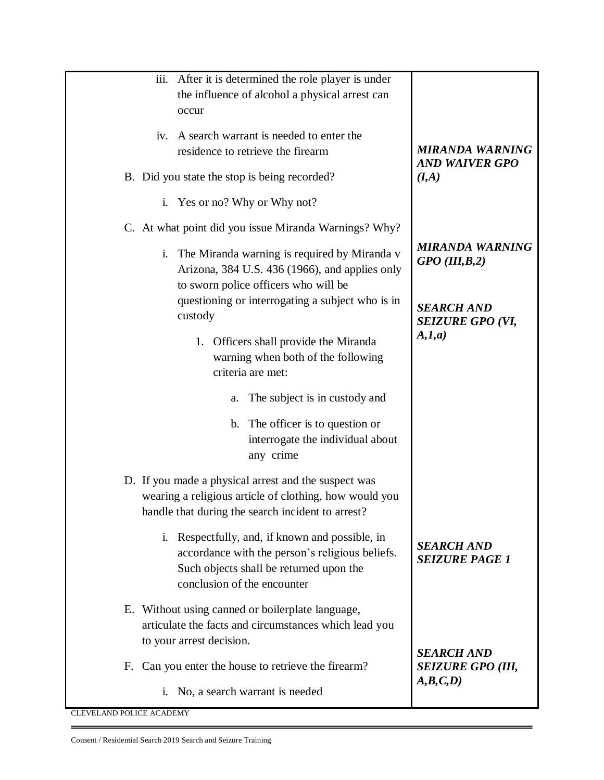| iii.<br>After it is determined the role player is under |                          |
|---------------------------------------------------------|--------------------------|
| the influence of alcohol a physical arrest can          |                          |
| occur                                                   |                          |
|                                                         |                          |
| A search warrant is needed to enter the<br>iv.          |                          |
| residence to retrieve the firearm                       | <b>MIRANDA WARNING</b>   |
|                                                         | <b>AND WAIVER GPO</b>    |
| B. Did you state the stop is being recorded?            | (I, A)                   |
|                                                         |                          |
| i. Yes or no? Why or Why not?                           |                          |
| C. At what point did you issue Miranda Warnings? Why?   |                          |
| i. The Miranda warning is required by Miranda v         | <b>MIRANDA WARNING</b>   |
| Arizona, 384 U.S. 436 (1966), and applies only          | $GPO$ (III,B,2)          |
|                                                         |                          |
| to sworn police officers who will be                    |                          |
| questioning or interrogating a subject who is in        | <b>SEARCH AND</b>        |
| custody                                                 | <b>SEIZURE GPO (VI,</b>  |
| 1. Officers shall provide the Miranda                   | A, I, a)                 |
|                                                         |                          |
| warning when both of the following                      |                          |
| criteria are met:                                       |                          |
| The subject is in custody and<br>a.                     |                          |
| The officer is to question or<br>b.                     |                          |
| interrogate the individual about                        |                          |
| any crime                                               |                          |
|                                                         |                          |
| D. If you made a physical arrest and the suspect was    |                          |
| wearing a religious article of clothing, how would you  |                          |
| handle that during the search incident to arrest?       |                          |
|                                                         |                          |
| i. Respectfully, and, if known and possible, in         |                          |
| accordance with the person's religious beliefs.         | <b>SEARCH AND</b>        |
| Such objects shall be returned upon the                 | <b>SEIZURE PAGE 1</b>    |
| conclusion of the encounter                             |                          |
|                                                         |                          |
| E. Without using canned or boilerplate language,        |                          |
| articulate the facts and circumstances which lead you   |                          |
| to your arrest decision.                                |                          |
|                                                         | <b>SEARCH AND</b>        |
| F. Can you enter the house to retrieve the firearm?     | <b>SEIZURE GPO (III,</b> |
|                                                         | A, B, C, D               |
| i. No, a search warrant is needed                       |                          |

Ė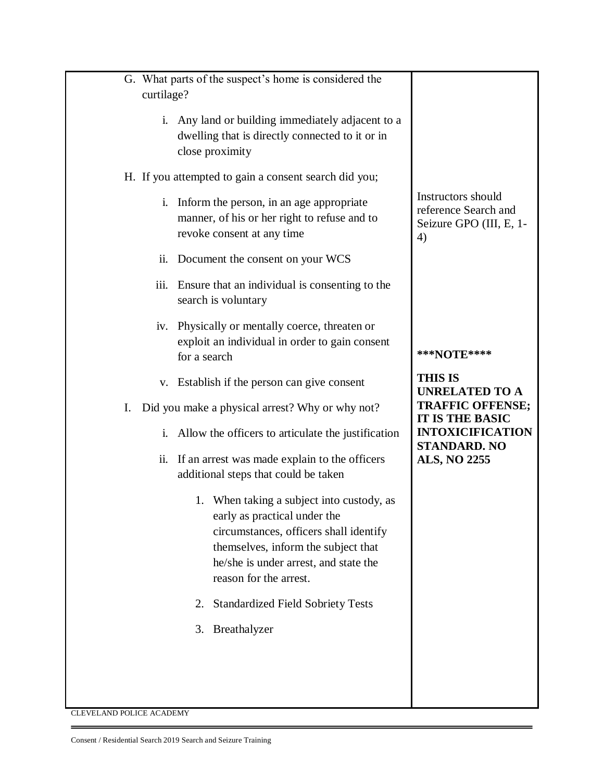| G. What parts of the suspect's home is considered the                                     |                                                  |
|-------------------------------------------------------------------------------------------|--------------------------------------------------|
| curtilage?                                                                                |                                                  |
| i. Any land or building immediately adjacent to a                                         |                                                  |
| dwelling that is directly connected to it or in<br>close proximity                        |                                                  |
| H. If you attempted to gain a consent search did you;                                     |                                                  |
| Inform the person, in an age appropriate<br>i.                                            | Instructors should                               |
| manner, of his or her right to refuse and to                                              | reference Search and<br>Seizure GPO (III, E, 1-  |
| revoke consent at any time                                                                | 4)                                               |
| ii. Document the consent on your WCS                                                      |                                                  |
| iii.<br>Ensure that an individual is consenting to the<br>search is voluntary             |                                                  |
| Physically or mentally coerce, threaten or<br>iv.                                         |                                                  |
| exploit an individual in order to gain consent<br>for a search                            | ***NOTE****                                      |
| v. Establish if the person can give consent                                               | <b>THIS IS</b>                                   |
| Did you make a physical arrest? Why or why not?<br>Ι.                                     | <b>UNRELATED TO A</b><br><b>TRAFFIC OFFENSE;</b> |
|                                                                                           | <b>IT IS THE BASIC</b>                           |
| Allow the officers to articulate the justification<br>i.                                  | <b>INTOXICIFICATION</b><br><b>STANDARD. NO</b>   |
| ii. If an arrest was made explain to the officers<br>additional steps that could be taken | <b>ALS, NO 2255</b>                              |
| 1. When taking a subject into custody, as                                                 |                                                  |
| early as practical under the<br>circumstances, officers shall identify                    |                                                  |
| themselves, inform the subject that                                                       |                                                  |
| he/she is under arrest, and state the<br>reason for the arrest.                           |                                                  |
| <b>Standardized Field Sobriety Tests</b><br>2.                                            |                                                  |
| Breathalyzer<br>3.                                                                        |                                                  |
|                                                                                           |                                                  |
|                                                                                           |                                                  |
|                                                                                           |                                                  |

÷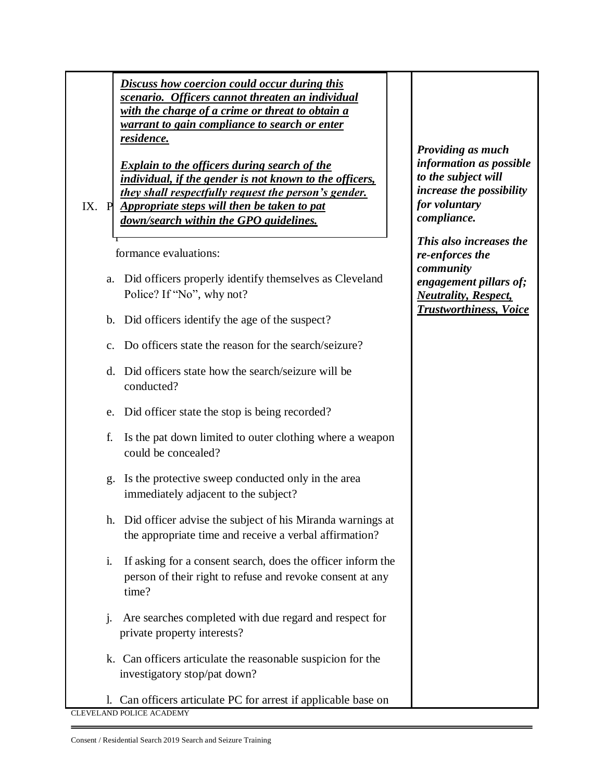*Discuss how coercion could occur during this scenario. Officers cannot threaten an individual with the charge of a crime or threat to obtain a warrant to gain compliance to search or enter residence.* 

*Explain to the officers during search of the individual, if the gender is not known to the officers, they shall respectfully request the person's gender.* 

IX. P *Appropriate steps will then be taken to pat*  e *down/search within the GPO guidelines.* 

formance evaluations:

r

- a. Did officers properly identify themselves as Cleveland Police? If "No", why not?
- b. Did officers identify the age of the suspect?
- c. Do officers state the reason for the search/seizure?
- d. Did officers state how the search/seizure will be conducted?
- e. Did officer state the stop is being recorded?
- f. Is the pat down limited to outer clothing where a weapon could be concealed?
- g. Is the protective sweep conducted only in the area immediately adjacent to the subject?
- h. Did officer advise the subject of his Miranda warnings at the appropriate time and receive a verbal affirmation?
- i. If asking for a consent search, does the officer inform the person of their right to refuse and revoke consent at any time?
- j. Are searches completed with due regard and respect for private property interests?
- k. Can officers articulate the reasonable suspicion for the investigatory stop/pat down?
- CLEVELAND POLICE ACADEMY l. Can officers articulate PC for arrest if applicable base on

*Providing as much information as possible to the subject will increase the possibility for voluntary compliance.* 

*This also increases the re-enforces the community engagement pillars of; Neutrality, Respect, Trustworthiness, Voice*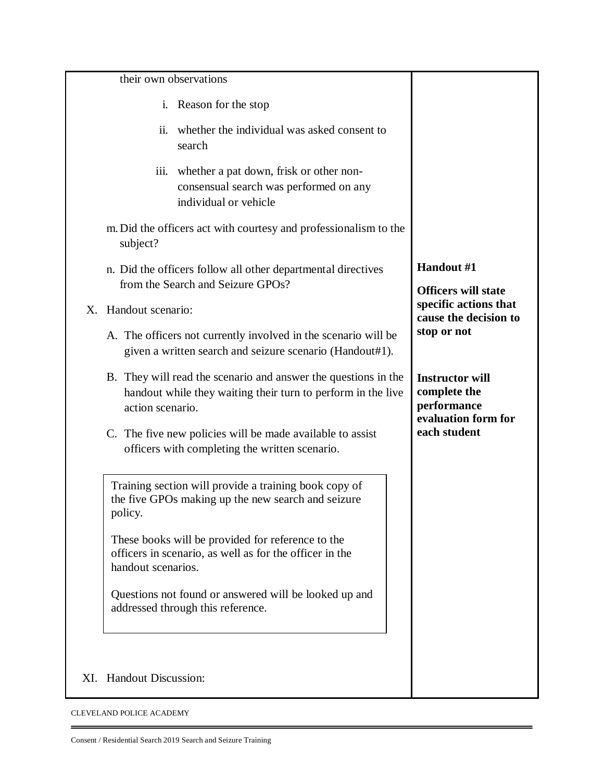|    | their own observations                                                                                                                             |                                                                              |
|----|----------------------------------------------------------------------------------------------------------------------------------------------------|------------------------------------------------------------------------------|
|    | Reason for the stop<br>$\mathbf{i}$ .                                                                                                              |                                                                              |
|    | whether the individual was asked consent to<br>ii.<br>search                                                                                       |                                                                              |
|    | whether a pat down, frisk or other non-<br>iii.<br>consensual search was performed on any<br>individual or vehicle                                 |                                                                              |
|    | m. Did the officers act with courtesy and professionalism to the<br>subject?                                                                       |                                                                              |
|    | n. Did the officers follow all other departmental directives<br>from the Search and Seizure GPOs?                                                  | Handout #1<br><b>Officers will state</b>                                     |
| Χ. | Handout scenario:                                                                                                                                  | specific actions that<br>cause the decision to                               |
|    | A. The officers not currently involved in the scenario will be<br>given a written search and seizure scenario (Handout#1).                         | stop or not                                                                  |
|    | B. They will read the scenario and answer the questions in the<br>handout while they waiting their turn to perform in the live<br>action scenario. | <b>Instructor will</b><br>complete the<br>performance<br>evaluation form for |
|    | C. The five new policies will be made available to assist<br>officers with completing the written scenario.                                        | each student                                                                 |
|    | Training section will provide a training book copy of<br>the five GPOs making up the new search and seizure<br>policy.                             |                                                                              |
|    | These books will be provided for reference to the<br>officers in scenario, as well as for the officer in the<br>handout scenarios.                 |                                                                              |
|    | Questions not found or answered will be looked up and<br>addressed through this reference.                                                         |                                                                              |
|    | XI. Handout Discussion:                                                                                                                            |                                                                              |

÷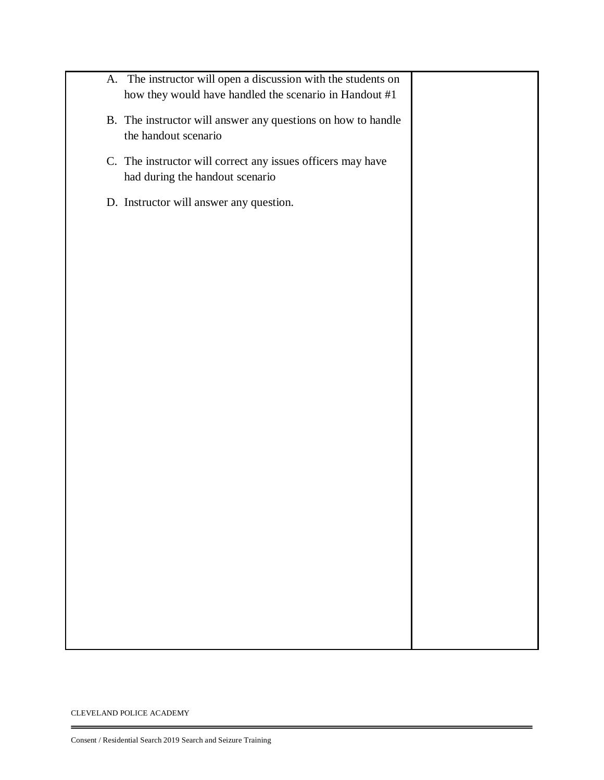| A. The instructor will open a discussion with the students on<br>how they would have handled the scenario in Handout #1 |  |
|-------------------------------------------------------------------------------------------------------------------------|--|
| B. The instructor will answer any questions on how to handle<br>the handout scenario                                    |  |
| C. The instructor will correct any issues officers may have<br>had during the handout scenario                          |  |
| D. Instructor will answer any question.                                                                                 |  |
|                                                                                                                         |  |
|                                                                                                                         |  |
|                                                                                                                         |  |
|                                                                                                                         |  |
|                                                                                                                         |  |
|                                                                                                                         |  |
|                                                                                                                         |  |
|                                                                                                                         |  |
|                                                                                                                         |  |
|                                                                                                                         |  |
|                                                                                                                         |  |
|                                                                                                                         |  |
|                                                                                                                         |  |
|                                                                                                                         |  |

Ξ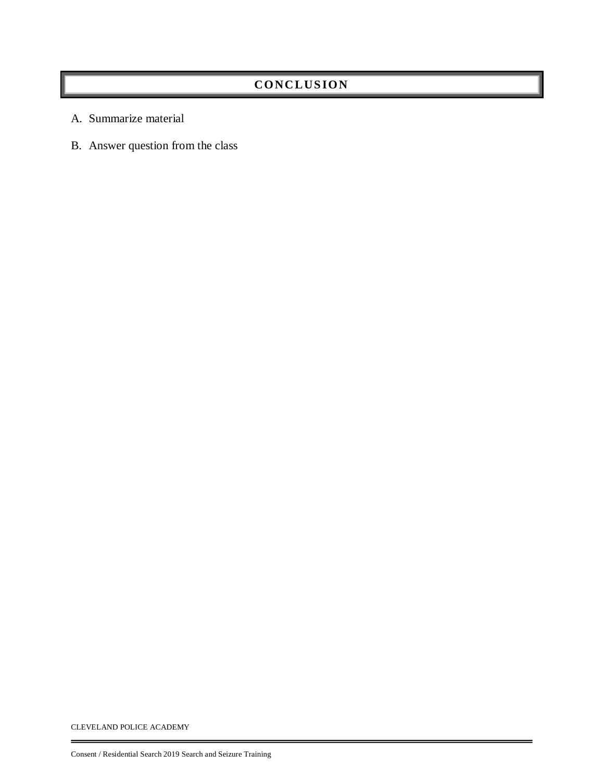### **CONC LUS ION**

- A. Summarize material
- B. Answer question from the class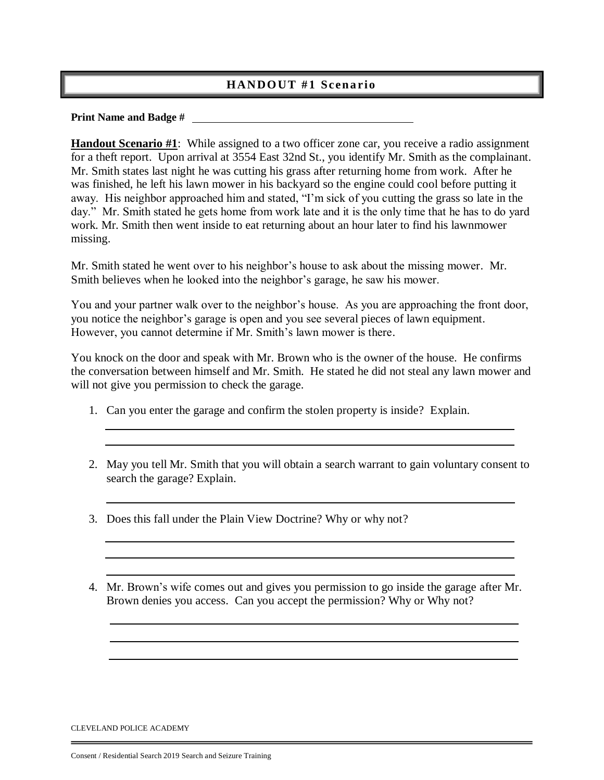#### **HANDOUT #1 Scenario**

#### **Print Name and Badge #**

**Handout Scenario #1**: While assigned to a two officer zone car, you receive a radio assignment for a theft report. Upon arrival at 3554 East 32nd St., you identify Mr. Smith as the complainant. Mr. Smith states last night he was cutting his grass after returning home from work. After he was finished, he left his lawn mower in his backyard so the engine could cool before putting it away. His neighbor approached him and stated, "I'm sick of you cutting the grass so late in the day." Mr. Smith stated he gets home from work late and it is the only time that he has to do yard work. Mr. Smith then went inside to eat returning about an hour later to find his lawnmower missing.

Mr. Smith stated he went over to his neighbor's house to ask about the missing mower. Mr. Smith believes when he looked into the neighbor's garage, he saw his mower.

You and your partner walk over to the neighbor's house. As you are approaching the front door, you notice the neighbor's garage is open and you see several pieces of lawn equipment. However, you cannot determine if Mr. Smith's lawn mower is there.

You knock on the door and speak with Mr. Brown who is the owner of the house. He confirms the conversation between himself and Mr. Smith. He stated he did not steal any lawn mower and will not give you permission to check the garage.

- 1. Can you enter the garage and confirm the stolen property is inside? Explain.
- 2. May you tell Mr. Smith that you will obtain a search warrant to gain voluntary consent to search the garage? Explain.
- 3. Does this fall under the Plain View Doctrine? Why or why not?
- 4. Mr. Brown's wife comes out and gives you permission to go inside the garage after Mr. Brown denies you access. Can you accept the permission? Why or Why not?